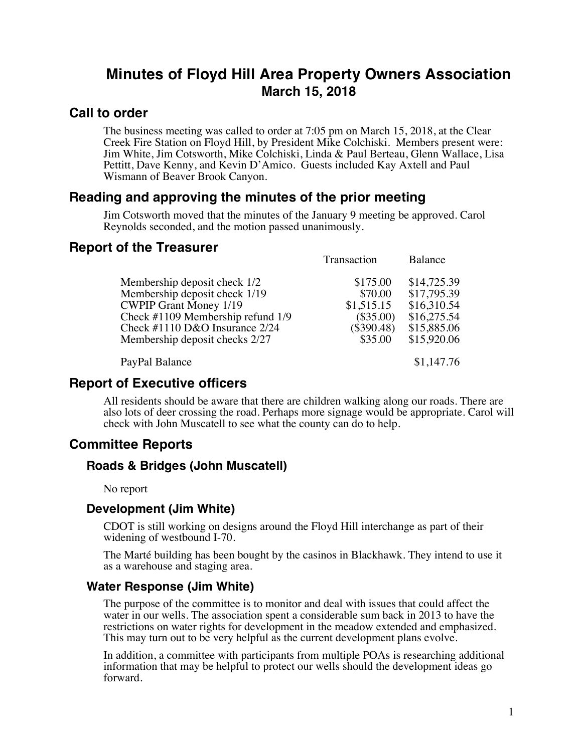# **Minutes of Floyd Hill Area Property Owners Association March 15, 2018**

### **Call to order**

The business meeting was called to order at 7:05 pm on March 15, 2018, at the Clear Creek Fire Station on Floyd Hill, by President Mike Colchiski. Members present were: Jim White, Jim Cotsworth, Mike Colchiski, Linda & Paul Berteau, Glenn Wallace, Lisa Pettitt, Dave Kenny, and Kevin D'Amico. Guests included Kay Axtell and Paul Wismann of Beaver Brook Canyon.

## **Reading and approving the minutes of the prior meeting**

Jim Cotsworth moved that the minutes of the January 9 meeting be approved. Carol Reynolds seconded, and the motion passed unanimously.

### **Report of the Treasurer**

|                                                                                                                                                                                                         | Transaction                                                                 | Balance                                                                                |
|---------------------------------------------------------------------------------------------------------------------------------------------------------------------------------------------------------|-----------------------------------------------------------------------------|----------------------------------------------------------------------------------------|
| Membership deposit check 1/2<br>Membership deposit check 1/19<br><b>CWPIP Grant Money 1/19</b><br>Check #1109 Membership refund 1/9<br>Check #1110 D&O Insurance 2/24<br>Membership deposit checks 2/27 | \$175.00<br>\$70.00<br>\$1,515.15<br>$(\$35.00)$<br>$(\$390.48)$<br>\$35.00 | \$14,725.39<br>\$17,795.39<br>\$16,310.54<br>\$16,275.54<br>\$15,885.06<br>\$15,920.06 |
| PayPal Balance                                                                                                                                                                                          |                                                                             | \$1,147.76                                                                             |

### **Report of Executive officers**

All residents should be aware that there are children walking along our roads. There are also lots of deer crossing the road. Perhaps more signage would be appropriate. Carol will check with John Muscatell to see what the county can do to help.

# **Committee Reports**

### **Roads & Bridges (John Muscatell)**

No report

#### **Development (Jim White)**

CDOT is still working on designs around the Floyd Hill interchange as part of their widening of westbound I-70.

The Marté building has been bought by the casinos in Blackhawk. They intend to use it as a warehouse and staging area.

### **Water Response (Jim White)**

The purpose of the committee is to monitor and deal with issues that could affect the water in our wells. The association spent a considerable sum back in 2013 to have the restrictions on water rights for development in the meadow extended and emphasized. This may turn out to be very helpful as the current development plans evolve.

In addition, a committee with participants from multiple POAs is researching additional information that may be helpful to protect our wells should the development ideas go forward.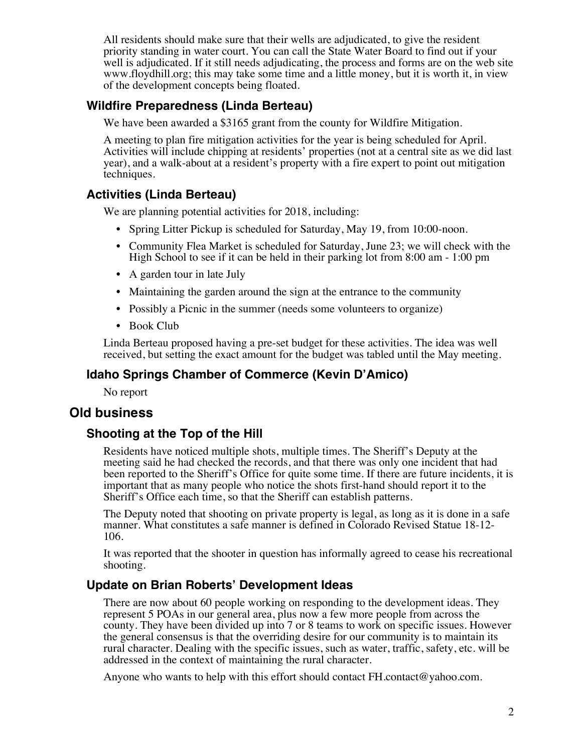All residents should make sure that their wells are adjudicated, to give the resident priority standing in water court. You can call the State Water Board to find out if your well is adjudicated. If it still needs adjudicating, the process and forms are on the web site www.floydhill.org; this may take some time and a little money, but it is worth it, in view of the development concepts being floated.

### **Wildfire Preparedness (Linda Berteau)**

We have been awarded a \$3165 grant from the county for Wildfire Mitigation.

A meeting to plan fire mitigation activities for the year is being scheduled for April. Activities will include chipping at residents' properties (not at a central site as we did last year), and a walk-about at a resident's property with a fire expert to point out mitigation techniques.

### **Activities (Linda Berteau)**

We are planning potential activities for 2018, including:

- Spring Litter Pickup is scheduled for Saturday, May 19, from 10:00-noon.
- Community Flea Market is scheduled for Saturday, June 23; we will check with the High School to see if it can be held in their parking lot from 8:00 am - 1:00 pm
- A garden tour in late July
- Maintaining the garden around the sign at the entrance to the community
- Possibly a Picnic in the summer (needs some volunteers to organize)
- Book Club

Linda Berteau proposed having a pre-set budget for these activities. The idea was well received, but setting the exact amount for the budget was tabled until the May meeting.

### **Idaho Springs Chamber of Commerce (Kevin D'Amico)**

No report

### **Old business**

### **Shooting at the Top of the Hill**

Residents have noticed multiple shots, multiple times. The Sheriff's Deputy at the meeting said he had checked the records, and that there was only one incident that had been reported to the Sheriff's Office for quite some time. If there are future incidents, it is important that as many people who notice the shots first-hand should report it to the Sheriff's Office each time, so that the Sheriff can establish patterns.

The Deputy noted that shooting on private property is legal, as long as it is done in a safe manner. What constitutes a safe manner is defined in Colorado Revised Statue 18-12- 106.

It was reported that the shooter in question has informally agreed to cease his recreational shooting.

### **Update on Brian Roberts' Development Ideas**

There are now about 60 people working on responding to the development ideas. They represent 5 POAs in our general area, plus now a few more people from across the county. They have been divided up into 7 or 8 teams to work on specific issues. However the general consensus is that the overriding desire for our community is to maintain its rural character. Dealing with the specific issues, such as water, traffic, safety, etc. will be addressed in the context of maintaining the rural character.

Anyone who wants to help with this effort should contact  $FH$  contact  $@$  values of  $...$